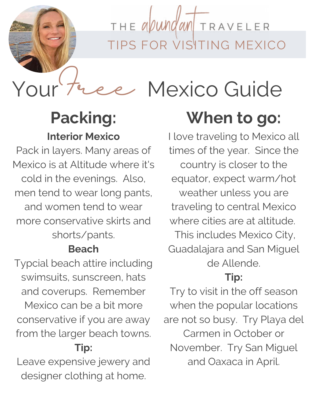

THE apundan TRAVELER TIPS FOR VISITING MEXICO

**Packing: Interior Mexico**

Pack in layers. Many areas of Mexico is at Altitude where it's cold in the evenings. Also, men tend to wear long pants, and women tend to wear more conservative skirts and shorts/pants.

#### **Beach**

Typcial beach attire including swimsuits, sunscreen, hats and coverups. Remember Mexico can be a bit more conservative if you are away from the larger beach towns.

#### **Tip:**

Leave expensive jewery and designer clothing at home.

# Your tree Mexico Guide

### **When to go:**

I love traveling to Mexico all times of the year. Since the country is closer to the equator, expect warm/hot weather unless you are traveling to central Mexico where cities are at altitude. This includes Mexico City, Guadalajara and San Miguel de Allende.

#### **Tip:**

Try to visit in the off season when the popular locations are not so busy. Try Playa del Carmen in October or November. Try San Miguel and Oaxaca in April.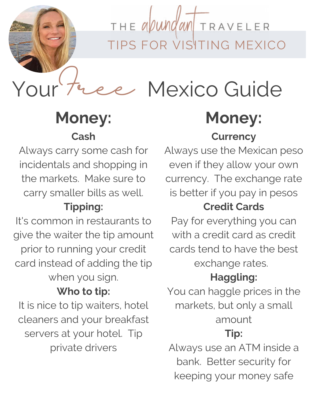

THE abundan TRAVELER TIPS FOR VISITING MEXICO

Your tree Mexico Guide

### **Money: Cash**

Always carry some cash for incidentals and shopping in the markets. Make sure to carry smaller bills as well.

#### **Tipping:**

It's common in restaurants to give the waiter the tip amount prior to running your credit card instead of adding the tip when you sign.

#### **Who to tip:**

It is nice to tip waiters, hotel cleaners and your breakfast servers at your hotel. Tip private drivers

### **Money:**

#### **Currency**

Always use the Mexican peso even if they allow your own currency. The exchange rate is better if you pay in pesos

#### **Credit Cards**

Pay for everything you can with a credit card as credit cards tend to have the best exchange rates.

#### **Haggling:**

You can haggle prices in the markets, but only a small amount

#### **Tip:**

Always use an ATM inside a bank. Better security for keeping your money safe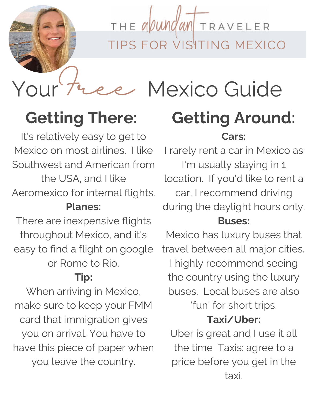

THE abundan TRAVELER TIPS FOR VISITING MEXICO

**Getting There:** 

It's relatively easy to get to Mexico on most airlines. I like Southwest and American from the USA, and I like Aeromexico for internal flights.

#### **Planes:**

There are inexpensive flights throughout Mexico, and it's easy to find a flight on google or Rome to Rio.

#### **Tip:**

When arriving in Mexico, make sure to keep your FMM card that immigration gives you on arrival. You have to have this piece of paper when you leave the country.

### Your tree Mexico Guide **Getting Around: Cars:**

I rarely rent a car in Mexico as I'm usually staying in 1 location. If you'd like to rent a car, I recommend driving during the daylight hours only. **Buses:**

Mexico has luxury buses that travel between all major cities. I highly recommend seeing the country using the luxury buses. Local buses are also 'fun' for short trips.

#### **Taxi/Uber:**

Uber is great and I use it all the time Taxis: agree to a price before you get in the taxi.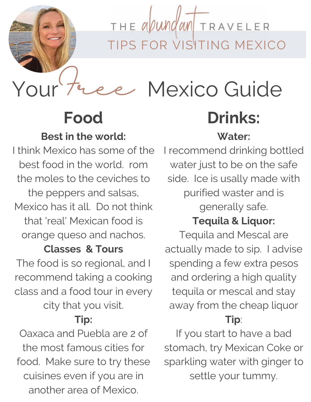

THE apundan TRAVELER TIPS FOR VISITING MEXICO

**Food**

#### **Best in the world:**

I think Mexico has some of the best food in the world. rom the moles to the ceviches to the peppers and salsas, Mexico has it all. Do not think that 'real' Mexican food is orange queso and nachos.

#### **Classes & Tours**

The food is so regional, and I recommend taking a cooking class and a food tour in every city that you visit.

#### **Tip:**

Oaxaca and Puebla are 2 of the most famous cities for food. Make sure to try these cuisines even if you are in another area of Mexico.

# Your tree Mexico Guide **Drinks:**

#### **Water:**

I recommend drinking bottled water just to be on the safe side. Ice is usally made with purified waster and is generally safe.

#### **Tequila & Liquor:**

Tequila and Mescal are actually made to sip. I advise spending a few extra pesos and ordering a high quality tequila or mescal and stay away from the cheap liquor **Tip**:

If you start to have a bad stomach, try Mexican Coke or sparkling water with ginger to settle your tummy.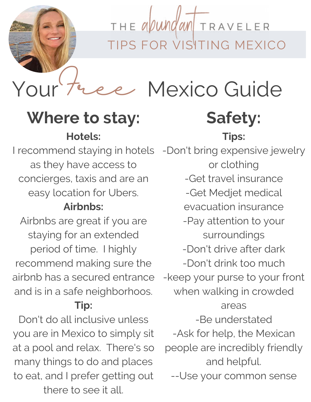

THE abundan TRAVELER TIPS FOR VISITING MEXICO

Your tree Mexico Guide

#### **Where to stay: Hotels:**

I recommend staying in hotels as they have access to concierges, taxis and are an easy location for Ubers.

#### **Airbnbs:**

Airbnbs are great if you are staying for an extended period of time. I highly recommend making sure the airbnb has a secured entrance and is in a safe neighborhoos.

#### **Tip:**

Don't do all inclusive unless you are in Mexico to simply sit at a pool and relax. There's so many things to do and places to eat, and I prefer getting out there to see it all.

**Safety: Tips:**

-Don't bring expensive jewelry or clothing -Get travel insurance -Get Medjet medical evacuation insurance -Pay attention to your surroundings -Don't drive after dark -Don't drink too much -keep your purse to your front when walking in crowded areas -Be understated -Ask for help, the Mexican people are incredibly friendly and helpful. --Use your common sense